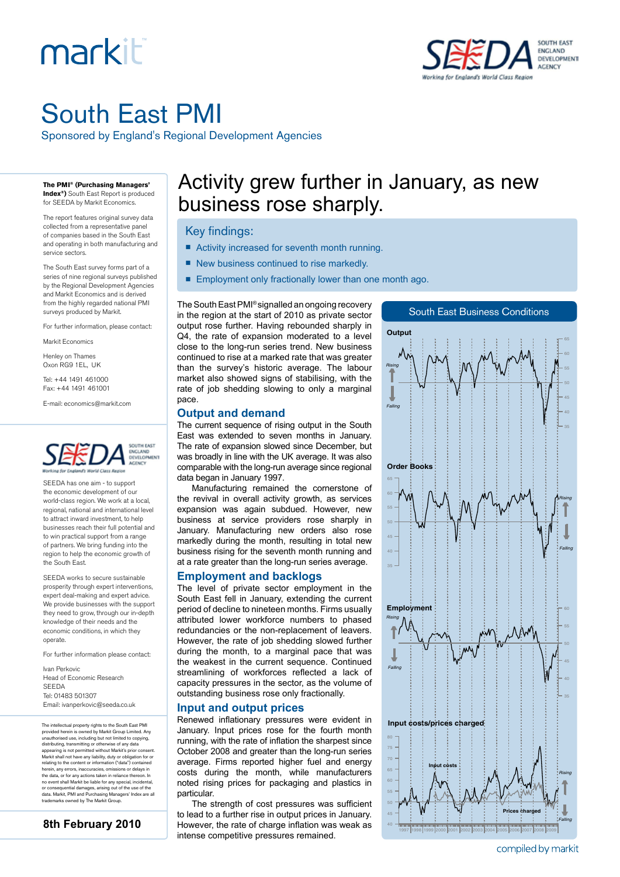# markiti



## South East PMI

Sponsored by England's Regional Development Agencies

**The PMI® (Purchasing Managers' Index®)** South East Report is produced

for SEEDA by Markit Economics.

The report features original survey data collected from a representative panel of companies based in the South East and operating in both manufacturing and service sectors.

The South East survey forms part of a series of nine regional surveys published by the Regional Development Agencies and Markit Economics and is derived from the highly regarded national PMI surveys produced by Markit.

For further information, please contact:

Markit Economics

Henley on Thames Oxon RG9 1EL, UK

Tel: +44 1491 461000

Fax: +44 1491 461001

E-mail: economics@markit.com



SEEDA has one aim - to support the economic development of our world-class region. We work at a local, regional, national and international level to attract inward investment, to help businesses reach their full potential and to win practical support from a range of partners. We bring funding into the region to help the economic growth of the South East.

SEEDA works to secure sustainable prosperity through expert interventions, expert deal-making and expert advice. We provide businesses with the support they need to grow, through our in-depth knowledge of their needs and the economic conditions, in which they operate.

For further information please contact:

Ivan Perkovic Head of Economic Research SEEDA Tel: 01483 501307 Email: ivanperkovic@seeda.co.uk

The intellectual property rights to the South East PMI provided herein is owned by Markit Group Limited. Any<br>unauthorised use, including but not limited to copying,<br>distributing, transmitting or otherwise of any data<br>appearing is not permitted without Markit's prior consent.<br>M herein, any errors, inaccuracies, omissions or delays in the data, or for any actions taken in reliance thereon. In no event shall Markit be liable for any special, incidental, or consequential damages, arising out of the use of the data. Markit, PMI and Purchasing Managers' Index are all trademarks owned by The Markit Group.<br>Markit Group.

**8th February 2010**

## Activity grew further in January, as new business rose sharply.

#### Key findings:

- Activity increased for seventh month running.
- New business continued to rise markedly.
- **Employment only fractionally lower than one month ago.**

The South East PMI® signalled an ongoing recovery in the region at the start of 2010 as private sector output rose further. Having rebounded sharply in Q4, the rate of expansion moderated to a level close to the long-run series trend. New business continued to rise at a marked rate that was greater than the survey's historic average. The labour market also showed signs of stabilising, with the rate of job shedding slowing to only a marginal pace.

### 35 40 45 **Employment** *Rising Falling* 45 80 **Input costs/prices charged** *Rising* **Input costs Prices charged** 40 45 **Order Books** *Rising Falling* 35 40 45 50 60 65 **Output** *Rising Falling* South East Business Conditions

#### **Output and demand**

The current sequence of rising output in the South East was extended to seven months in January. The rate of expansion slowed since December, but was broadly in line with the UK average. It was also comparable with the long-run average since regional data began in January 1997.

Manufacturing remained the cornerstone of the revival in overall activity growth, as services expansion was again subdued. However, new business at service providers rose sharply in January. Manufacturing new orders also rose markedly during the month, resulting in total new business rising for the seventh month running and at a rate greater than the long-run series average.

#### **Employment and backlogs**

The level of private sector employment in the South East fell in January, extending the current period of decline to nineteen months. Firms usually attributed lower workforce numbers to phased redundancies or the non-replacement of leavers. However, the rate of job shedding slowed further during the month, to a marginal pace that was the weakest in the current sequence. Continued streamlining of workforces reflected a lack of capacity pressures in the sector, as the volume of outstanding business rose only fractionally.

#### **Input and output prices**

Renewed inflationary pressures were evident in January. Input prices rose for the fourth month running, with the rate of inflation the sharpest since October 2008 and greater than the long-run series average. Firms reported higher fuel and energy costs during the month, while manufacturers noted rising prices for packaging and plastics in particular.

The strength of cost pressures was sufficient to lead to a further rise in output prices in January. However, the rate of charge inflation was weak as intense competitive pressures remained.



*Falling*

1997 1998 1999 2000 2001 2002 2003 2004 2005 2006 2007 2008 2009

40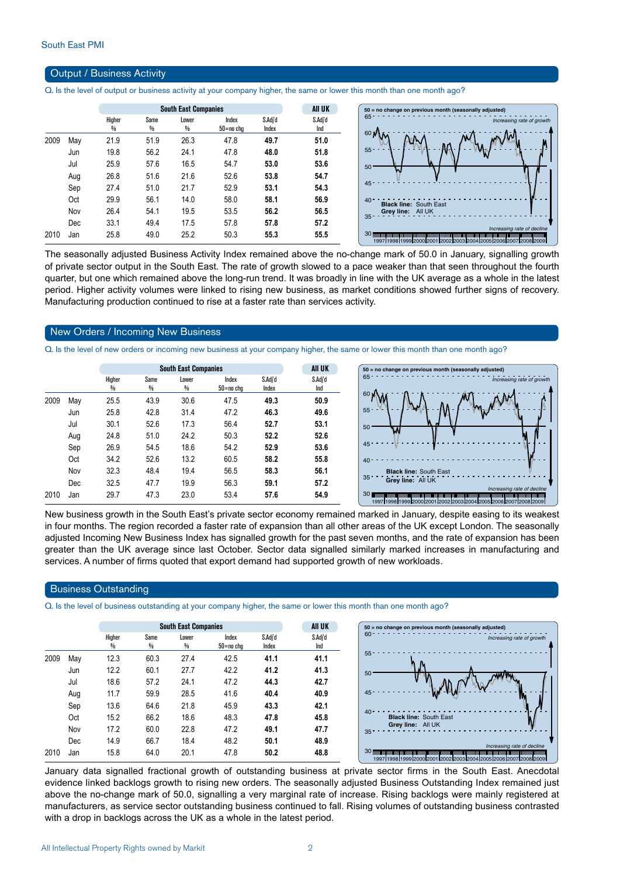#### Output / Business Activity

Q. Is the level of output or business activity at your company higher, the same or lower this month than one month ago?

|      |     |        |           | <b>South East Companies</b> |                    |                  | All UK         | 50 = no change on previous month (seasonally adjusted)                                                                                                                                                                 |  |  |
|------|-----|--------|-----------|-----------------------------|--------------------|------------------|----------------|------------------------------------------------------------------------------------------------------------------------------------------------------------------------------------------------------------------------|--|--|
|      |     | Higher | Same<br>% | Lower<br>%                  | Index<br>50=no chq | S.Adj'd<br>Index | S.Adj'd<br>Ind | $65 -$<br>Increasing rate of growth<br>601                                                                                                                                                                             |  |  |
| 2009 | May | 21.9   | 51.9      | 26.3                        | 47.8               | 49.7             | 51.0           |                                                                                                                                                                                                                        |  |  |
|      | Jun | 19.8   | 56.2      | 24.1                        | 47.8               | 48.0             | 51.8           | $55 -$                                                                                                                                                                                                                 |  |  |
|      | Jul | 25.9   | 57.6      | 16.5                        | 54.7               | 53.0             | 53.6           | 50 <sup>o</sup>                                                                                                                                                                                                        |  |  |
|      | Aug | 26.8   | 51.6      | 21.6                        | 52.6               | 53.8             | 54.7           |                                                                                                                                                                                                                        |  |  |
|      | Sep | 27.4   | 51.0      | 21.7                        | 52.9               | 53.1             | 54.3           |                                                                                                                                                                                                                        |  |  |
|      | Oct | 29.9   | 56.1      | 14.0                        | 58.0               | 58.1             | 56.9           | $40 -$<br><b>Black line: South East</b>                                                                                                                                                                                |  |  |
|      | Nov | 26.4   | 54.1      | 19.5                        | 53.5               | 56.2             | 56.5           | Grey line: All UK                                                                                                                                                                                                      |  |  |
|      | Dec | 33.1   | 49.4      | 17.5                        | 57.8               | 57.8             | 57.2           | $35 -$                                                                                                                                                                                                                 |  |  |
| 2010 | Jan | 25.8   | 49.0      | 25.2                        | 50.3               | 55.3             | 55.5           | Increasing rate of decline<br>30 minute parameter and an international production and an international production production and an international<br>19971199811999120001200112002120031200412005120061200712008120091 |  |  |

The seasonally adjusted Business Activity Index remained above the no-change mark of 50.0 in January, signalling growth of private sector output in the South East. The rate of growth slowed to a pace weaker than that seen throughout the fourth quarter, but one which remained above the long-run trend. It was broadly in line with the UK average as a whole in the latest period. Higher activity volumes were linked to rising new business, as market conditions showed further signs of recovery. Manufacturing production continued to rise at a faster rate than services activity.

#### New Orders / Incoming New Business

Q. Is the level of new orders or incoming new business at your company higher, the same or lower this month than one month ago?

|      |     |                         |           | <b>AII UK</b> |                        |                  |                |
|------|-----|-------------------------|-----------|---------------|------------------------|------------------|----------------|
|      |     | Higher<br>$\frac{0}{0}$ | Same<br>% | Lower<br>%    | Index<br>$50 = no$ chg | S.Adj'd<br>Index | S.Adj'd<br>Ind |
| 2009 | May | 25.5                    | 43.9      | 30.6          | 47.5                   | 49.3             | 50.9           |
|      | Jun | 25.8                    | 42.8      | 31.4          | 47.2                   | 46.3             | 49.6           |
|      | Jul | 30.1                    | 52.6      | 17.3          | 56.4                   | 52.7             | 53.1           |
|      | Aug | 24.8                    | 51.0      | 24.2          | 50.3                   | 52.2             | 52.6           |
|      | Sep | 26.9                    | 54.5      | 18.6          | 54.2                   | 52.9             | 53.6           |
|      | Oct | 34.2                    | 52.6      | 13.2          | 60.5                   | 58.2             | 55.8           |
|      | Nov | 32.3                    | 48.4      | 19.4          | 56.5                   | 58.3             | 56.1           |
|      | Dec | 32.5                    | 47.7      | 19.9          | 56.3                   | 59.1             | 57.2           |
| 2010 | Jan | 29.7                    | 47.3      | 23.0          | 53.4                   | 57.6             | 54.9           |
|      |     |                         |           |               |                        |                  |                |



New business growth in the South East's private sector economy remained marked in January, despite easing to its weakest in four months. The region recorded a faster rate of expansion than all other areas of the UK except London. The seasonally adjusted Incoming New Business Index has signalled growth for the past seven months, and the rate of expansion has been greater than the UK average since last October. Sector data signalled similarly marked increases in manufacturing and services. A number of firms quoted that export demand had supported growth of new workloads.

#### Business Outstanding

Q. Is the level of business outstanding at your company higher, the same or lower this month than one month ago?

|      |     | <b>South East Companies</b> |           |            |                    |                  | All UK         |
|------|-----|-----------------------------|-----------|------------|--------------------|------------------|----------------|
|      |     | Higher<br>%                 | Same<br>% | Lower<br>% | Index<br>50=no cha | S.Adj'd<br>Index | S.Adj'd<br>Ind |
| 2009 | May | 12.3                        | 60.3      | 27.4       | 42.5               | 41.1             | 41.1           |
|      | Jun | 12.2                        | 60.1      | 27.7       | 42.2               | 41.2             | 41.3           |
|      | Jul | 18.6                        | 57.2      | 24.1       | 47.2               | 44.3             | 42.7           |
|      | Aug | 11.7                        | 59.9      | 28.5       | 41.6               | 40.4             | 40.9           |
|      | Sep | 13.6                        | 64.6      | 21.8       | 45.9               | 43.3             | 42.1           |
|      | Oct | 15.2                        | 66.2      | 18.6       | 48.3               | 47.8             | 45.8           |
|      | Nov | 17.2                        | 60.0      | 22.8       | 47.2               | 49.1             | 47.7           |
|      | Dec | 14.9                        | 66.7      | 18.4       | 48.2               | 50.1             | 48.9           |
| 2010 | Jan | 15.8                        | 64.0      | 20.1       | 47.8               | 50.2             | 48.8           |

January data signalled fractional growth of outstanding business at private sector firms in the South East. Anecdotal evidence linked backlogs growth to rising new orders. The seasonally adjusted Business Outstanding Index remained just above the no-change mark of 50.0, signalling a very marginal rate of increase. Rising backlogs were mainly registered at manufacturers, as service sector outstanding business continued to fall. Rising volumes of outstanding business contrasted with a drop in backlogs across the UK as a whole in the latest period.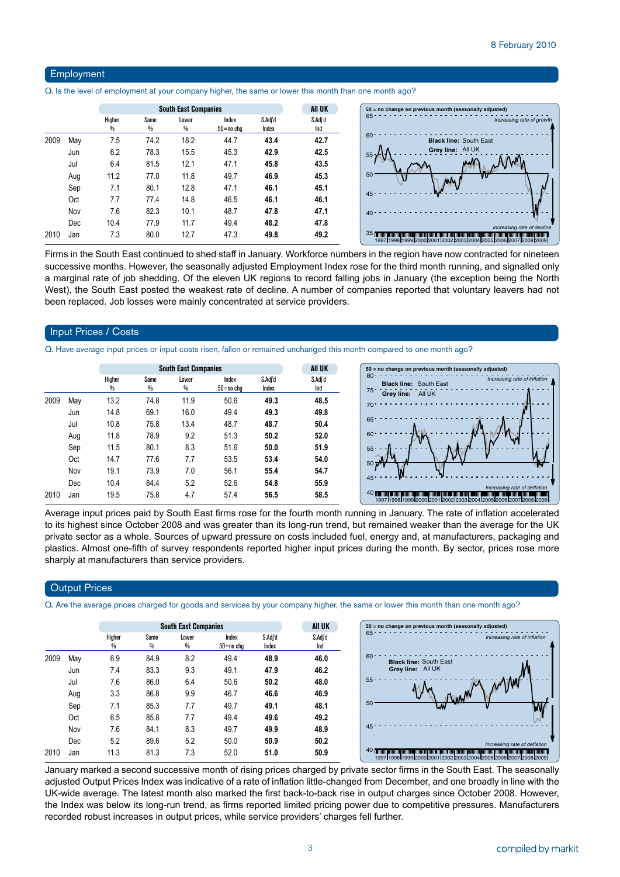#### Employment

Q. Is the level of employment at your company higher, the same or lower this month than one month ago?

|      |     |             |           | All UK     |                    |                  |                |
|------|-----|-------------|-----------|------------|--------------------|------------------|----------------|
|      |     | Higher<br>% | Same<br>₩ | Lower<br>% | Index<br>50=no cha | S.Adj'd<br>Index | S.Adj'd<br>Ind |
| 2009 | May | 7.5         | 74.2      | 18.2       | 44.7               | 43.4             | 42.7           |
|      | Jun | 6.2         | 78.3      | 15.5       | 45.3               | 42.9             | 42.5           |
|      | Jul | 6.4         | 81.5      | 12.1       | 47.1               | 45.8             | 43.5           |
|      | Aug | 11.2        | 77.0      | 11.8       | 49.7               | 46.9             | 45.3           |
|      | Sep | 7.1         | 80.1      | 12.8       | 47.1               | 46.1             | 45.1           |
|      | Oct | 7.7         | 77.4      | 14.8       | 46.5               | 46.1             | 46.1           |
|      | Nov | 7.6         | 82.3      | 10.1       | 48.7               | 47.8             | 47.1           |
|      | Dec | 10.4        | 77.9      | 11.7       | 49.4               | 48.2             | 47.8           |
| 2010 | Jan | 7.3         | 80.0      | 12.7       | 47.3               | 49.8             | 49.2           |

Firms in the South East continued to shed staff in January. Workforce numbers in the region have now contracted for nineteen successive months. However, the seasonally adjusted Employment Index rose for the third month running, and signalled only a marginal rate of job shedding. Of the eleven UK regions to record falling jobs in January (the exception being the North West), the South East posted the weakest rate of decline. A number of companies reported that voluntary leavers had not been replaced. Job losses were mainly concentrated at service providers.

#### Input Prices / Costs

Q. Have average input prices or input costs risen, fallen or remained unchanged this month compared to one month ago?

|      |     |             |           | All UK     |                    |                  |                |
|------|-----|-------------|-----------|------------|--------------------|------------------|----------------|
|      |     | Higher<br>% | Same<br>₩ | Lower<br>₩ | Index<br>50=no cha | S.Adi'd<br>Index | S.Adj'd<br>Ind |
| 2009 | May | 13.2        | 74.8      | 11.9       | 50.6               | 49.3             | 48.5           |
|      | Jun | 14.8        | 69.1      | 16.0       | 49.4               | 49.3             | 49.8           |
|      | Jul | 10.8        | 75.8      | 13.4       | 48.7               | 48.7             | 50.4           |
|      | Aug | 11.8        | 78.9      | 9.2        | 51.3               | 50.2             | 52.0           |
|      | Sep | 11.5        | 80.1      | 8.3        | 51.6               | 50.0             | 51.9           |
|      | Oct | 14.7        | 77.6      | 7.7        | 53.5               | 53.4             | 54.0           |
|      | Nov | 19.1        | 73.9      | 7.0        | 56.1               | 55.4             | 54.7           |
|      | Dec | 10.4        | 84.4      | 5.2        | 52.6               | 54.8             | 55.9           |
| 2010 | Jan | 19.5        | 75.8      | 4.7        | 57.4               | 56.5             | 58.5           |

Average input prices paid by South East firms rose for the fourth month running in January. The rate of inflation accelerated to its highest since October 2008 and was greater than its long-run trend, but remained weaker than the average for the UK private sector as a whole. Sources of upward pressure on costs included fuel, energy and, at manufacturers, packaging and plastics. Almost one-fifth of survey respondents reported higher input prices during the month. By sector, prices rose more sharply at manufacturers than service providers.

#### **Output Prices**

Q. Are the average prices charged for goods and services by your company higher, the same or lower this month than one month ago?

|      |            |             | <b>South East Companies</b> |            | All UK                 |                  |                |
|------|------------|-------------|-----------------------------|------------|------------------------|------------------|----------------|
|      |            | Higher<br>% | Same<br>%                   | Lower<br>% | Index<br>$50 = no$ chg | S.Adj'd<br>Index | S.Adj'd<br>Ind |
| 2009 | May        | 6.9         | 84.9                        | 8.2        | 49.4                   | 48.9             | 46.0           |
|      | Jun        | 7.4         | 83.3                        | 9.3        | 49.1                   | 47.9             | 46.2           |
|      | Jul        | 7.6         | 86.0                        | 6.4        | 50.6                   | 50.2             | 48.0           |
|      | Aug        | 3.3         | 86.8                        | 9.9        | 46.7                   | 46.6             | 46.9           |
|      | Sep        | 7.1         | 85.3                        | 7.7        | 49.7                   | 49.1             | 48.1           |
|      | Oct        | 6.5         | 85.8                        | 7.7        | 49.4                   | 49.6             | 49.2           |
|      | Nov        | 7.6         | 84.1                        | 8.3        | 49.7                   | 49.9             | 48.9           |
|      | <b>Dec</b> | 5.2         | 89.6                        | 5.2        | 50.0                   | 50.9             | 50.2           |
| 2010 | Jan        | 11.3        | 81.3                        | 7.3        | 52.0                   | 51.0             | 50.9           |

January marked a second successive month of rising prices charged by private sector firms in the South East. The seasonally adjusted Output Prices Index was indicative of a rate of inflation little-changed from December, and one broadly in line with the UK-wide average. The latest month also marked the first back-to-back rise in output charges since October 2008. However, the Index was below its long-run trend, as firms reported limited pricing power due to competitive pressures. Manufacturers recorded robust increases in output prices, while service providers' charges fell further.